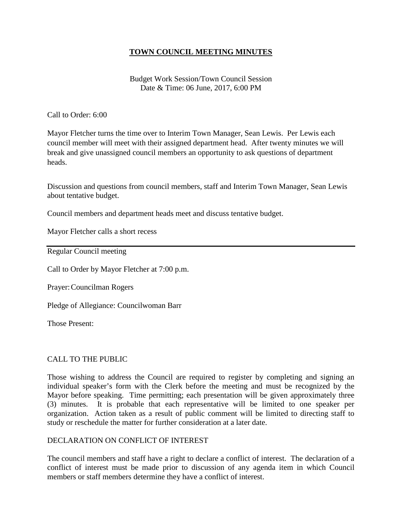### **TOWN COUNCIL MEETING MINUTES**

Budget Work Session/Town Council Session Date & Time: 06 June, 2017, 6:00 PM

Call to Order: 6:00

Mayor Fletcher turns the time over to Interim Town Manager, Sean Lewis. Per Lewis each council member will meet with their assigned department head. After twenty minutes we will break and give unassigned council members an opportunity to ask questions of department heads.

Discussion and questions from council members, staff and Interim Town Manager, Sean Lewis about tentative budget.

Council members and department heads meet and discuss tentative budget.

Mayor Fletcher calls a short recess

Regular Council meeting

Call to Order by Mayor Fletcher at 7:00 p.m.

Prayer:Councilman Rogers

Pledge of Allegiance: Councilwoman Barr

Those Present:

#### CALL TO THE PUBLIC

Those wishing to address the Council are required to register by completing and signing an individual speaker's form with the Clerk before the meeting and must be recognized by the Mayor before speaking. Time permitting; each presentation will be given approximately three (3) minutes. It is probable that each representative will be limited to one speaker per organization. Action taken as a result of public comment will be limited to directing staff to study or reschedule the matter for further consideration at a later date.

#### DECLARATION ON CONFLICT OF INTEREST

The council members and staff have a right to declare a conflict of interest. The declaration of a conflict of interest must be made prior to discussion of any agenda item in which Council members or staff members determine they have a conflict of interest.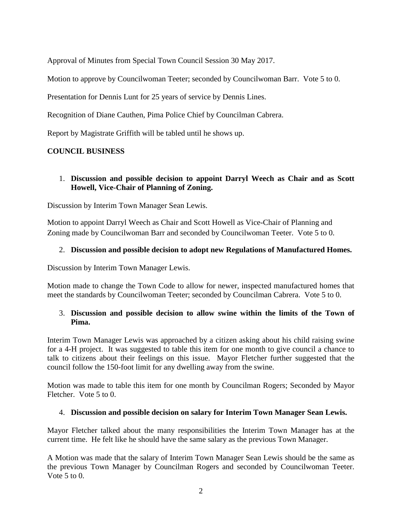Approval of Minutes from Special Town Council Session 30 May 2017.

Motion to approve by Councilwoman Teeter; seconded by Councilwoman Barr. Vote 5 to 0.

Presentation for Dennis Lunt for 25 years of service by Dennis Lines.

Recognition of Diane Cauthen, Pima Police Chief by Councilman Cabrera.

Report by Magistrate Griffith will be tabled until he shows up.

# **COUNCIL BUSINESS**

### 1. **Discussion and possible decision to appoint Darryl Weech as Chair and as Scott Howell, Vice-Chair of Planning of Zoning.**

Discussion by Interim Town Manager Sean Lewis.

Motion to appoint Darryl Weech as Chair and Scott Howell as Vice-Chair of Planning and Zoning made by Councilwoman Barr and seconded by Councilwoman Teeter. Vote 5 to 0.

### 2. **Discussion and possible decision to adopt new Regulations of Manufactured Homes.**

Discussion by Interim Town Manager Lewis.

Motion made to change the Town Code to allow for newer, inspected manufactured homes that meet the standards by Councilwoman Teeter; seconded by Councilman Cabrera. Vote 5 to 0.

### 3. **Discussion and possible decision to allow swine within the limits of the Town of Pima.**

Interim Town Manager Lewis was approached by a citizen asking about his child raising swine for a 4-H project. It was suggested to table this item for one month to give council a chance to talk to citizens about their feelings on this issue. Mayor Fletcher further suggested that the council follow the 150-foot limit for any dwelling away from the swine.

Motion was made to table this item for one month by Councilman Rogers; Seconded by Mayor Fletcher. Vote 5 to 0.

### 4. **Discussion and possible decision on salary for Interim Town Manager Sean Lewis.**

Mayor Fletcher talked about the many responsibilities the Interim Town Manager has at the current time. He felt like he should have the same salary as the previous Town Manager.

A Motion was made that the salary of Interim Town Manager Sean Lewis should be the same as the previous Town Manager by Councilman Rogers and seconded by Councilwoman Teeter. Vote 5 to 0.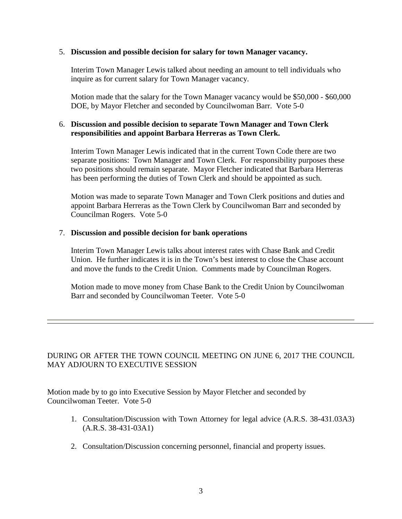#### 5. **Discussion and possible decision for salary for town Manager vacancy.**

Interim Town Manager Lewis talked about needing an amount to tell individuals who inquire as for current salary for Town Manager vacancy.

Motion made that the salary for the Town Manager vacancy would be \$50,000 - \$60,000 DOE, by Mayor Fletcher and seconded by Councilwoman Barr. Vote 5-0

#### 6. **Discussion and possible decision to separate Town Manager and Town Clerk responsibilities and appoint Barbara Herreras as Town Clerk.**

Interim Town Manager Lewis indicated that in the current Town Code there are two separate positions: Town Manager and Town Clerk. For responsibility purposes these two positions should remain separate. Mayor Fletcher indicated that Barbara Herreras has been performing the duties of Town Clerk and should be appointed as such.

Motion was made to separate Town Manager and Town Clerk positions and duties and appoint Barbara Herreras as the Town Clerk by Councilwoman Barr and seconded by Councilman Rogers. Vote 5-0

#### 7. **Discussion and possible decision for bank operations**

Interim Town Manager Lewis talks about interest rates with Chase Bank and Credit Union. He further indicates it is in the Town's best interest to close the Chase account and move the funds to the Credit Union. Comments made by Councilman Rogers.

Motion made to move money from Chase Bank to the Credit Union by Councilwoman Barr and seconded by Councilwoman Teeter. Vote 5-0

### DURING OR AFTER THE TOWN COUNCIL MEETING ON JUNE 6, 2017 THE COUNCIL MAY ADJOURN TO EXECUTIVE SESSION

Motion made by to go into Executive Session by Mayor Fletcher and seconded by Councilwoman Teeter. Vote 5-0

- 1. Consultation/Discussion with Town Attorney for legal advice (A.R.S. 38-431.03A3) (A.R.S. 38-431-03A1)
- 2. Consultation/Discussion concerning personnel, financial and property issues.